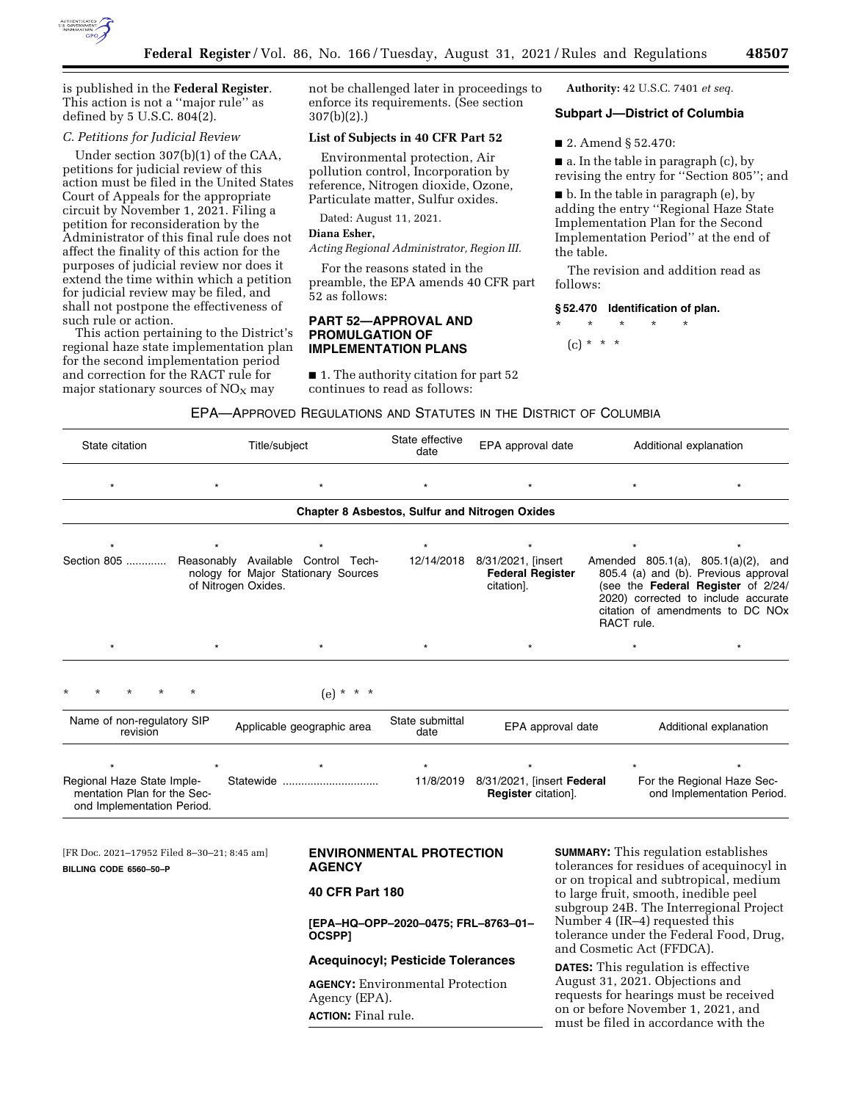

is published in the **Federal Register**. This action is not a ''major rule'' as defined by 5 U.S.C. 804(2).

# *C. Petitions for Judicial Review*

Under section 307(b)(1) of the CAA, petitions for judicial review of this action must be filed in the United States Court of Appeals for the appropriate circuit by November 1, 2021. Filing a petition for reconsideration by the Administrator of this final rule does not affect the finality of this action for the purposes of judicial review nor does it extend the time within which a petition for judicial review may be filed, and shall not postpone the effectiveness of such rule or action.

This action pertaining to the District's regional haze state implementation plan for the second implementation period and correction for the RACT rule for major stationary sources of  $NO<sub>x</sub>$  may

not be challenged later in proceedings to enforce its requirements. (See section 307(b)(2).)

# **List of Subjects in 40 CFR Part 52**

Environmental protection, Air pollution control, Incorporation by reference, Nitrogen dioxide, Ozone, Particulate matter, Sulfur oxides.

Dated: August 11, 2021.

## **Diana Esher,**

*Acting Regional Administrator, Region III.* 

For the reasons stated in the preamble, the EPA amends 40 CFR part 52 as follows:

# **PART 52—APPROVAL AND PROMULGATION OF IMPLEMENTATION PLANS**

■ 1. The authority citation for part 52 continues to read as follows:

**Authority:** 42 U.S.C. 7401 *et seq.* 

# **Subpart J—District of Columbia**

■ 2. Amend § 52.470:

■ a. In the table in paragraph (c), by revising the entry for ''Section 805''; and

 $\blacksquare$  b. In the table in paragraph (e), by adding the entry ''Regional Haze State Implementation Plan for the Second Implementation Period'' at the end of the table.

The revision and addition read as follows:

#### **§ 52.470 Identification of plan.**

\* \* \* \* \*  $(c) * * * *$ 

# EPA—APPROVED REGULATIONS AND STATUTES IN THE DISTRICT OF COLUMBIA

| State citation<br>Title/subject                                                                      |                     |                                                                           | State effective<br>date                     | EPA approval date                                                                                                    | Additional explanation |                                                                                                                                                                                                               |  |  |  |  |  |
|------------------------------------------------------------------------------------------------------|---------------------|---------------------------------------------------------------------------|---------------------------------------------|----------------------------------------------------------------------------------------------------------------------|------------------------|---------------------------------------------------------------------------------------------------------------------------------------------------------------------------------------------------------------|--|--|--|--|--|
| $\star$                                                                                              | $\star$             | $\star$                                                                   | $\star$                                     |                                                                                                                      | $\star$                | $\star$                                                                                                                                                                                                       |  |  |  |  |  |
| Chapter 8 Asbestos, Sulfur and Nitrogen Oxides                                                       |                     |                                                                           |                                             |                                                                                                                      |                        |                                                                                                                                                                                                               |  |  |  |  |  |
|                                                                                                      |                     | $\star$                                                                   | $\star$                                     |                                                                                                                      |                        |                                                                                                                                                                                                               |  |  |  |  |  |
| Section 805                                                                                          | of Nitrogen Oxides. | Reasonably Available Control Tech-<br>nology for Major Stationary Sources |                                             | 12/14/2018 8/31/2021, [insert<br><b>Federal Register</b><br>citation].                                               | RACT rule.             | Amended $805.1(a)$ , $805.1(a)(2)$ , and<br>805.4 (a) and (b). Previous approval<br>(see the Federal Register of 2/24/<br>2020) corrected to include accurate<br>citation of amendments to DC NO <sub>x</sub> |  |  |  |  |  |
| $\star$                                                                                              | $\star$             | $\star$                                                                   | $\star$                                     |                                                                                                                      | $\star$                | $\star$                                                                                                                                                                                                       |  |  |  |  |  |
| $\star$                                                                                              | $\star$             | $(e) * * * *$                                                             |                                             |                                                                                                                      |                        |                                                                                                                                                                                                               |  |  |  |  |  |
| Name of non-regulatory SIP<br>Applicable geographic area<br>revision                                 |                     | State submittal<br>date                                                   | EPA approval date<br>Additional explanation |                                                                                                                      |                        |                                                                                                                                                                                                               |  |  |  |  |  |
| ٠                                                                                                    |                     | $\star$                                                                   | $\star$                                     |                                                                                                                      | $\star$                | $\star$                                                                                                                                                                                                       |  |  |  |  |  |
| Regional Haze State Imple-<br>Statewide<br>mentation Plan for the Sec-<br>ond Implementation Period. |                     |                                                                           | 11/8/2019                                   | For the Regional Haze Sec-<br>8/31/2021, [insert Federal<br><b>Register</b> citation].<br>ond Implementation Period. |                        |                                                                                                                                                                                                               |  |  |  |  |  |

[FR Doc. 2021–17952 Filed 8–30–21; 8:45 am] **BILLING CODE 6560–50–P** 

# **ENVIRONMENTAL PROTECTION AGENCY**

# **40 CFR Part 180**

**[EPA–HQ–OPP–2020–0475; FRL–8763–01– OCSPP]** 

# **Acequinocyl; Pesticide Tolerances**

**AGENCY:** Environmental Protection Agency (EPA). **ACTION:** Final rule.

**SUMMARY:** This regulation establishes tolerances for residues of acequinocyl in or on tropical and subtropical, medium to large fruit, smooth, inedible peel subgroup 24B. The Interregional Project Number 4 (IR–4) requested this tolerance under the Federal Food, Drug, and Cosmetic Act (FFDCA).

**DATES:** This regulation is effective August 31, 2021. Objections and requests for hearings must be received on or before November 1, 2021, and must be filed in accordance with the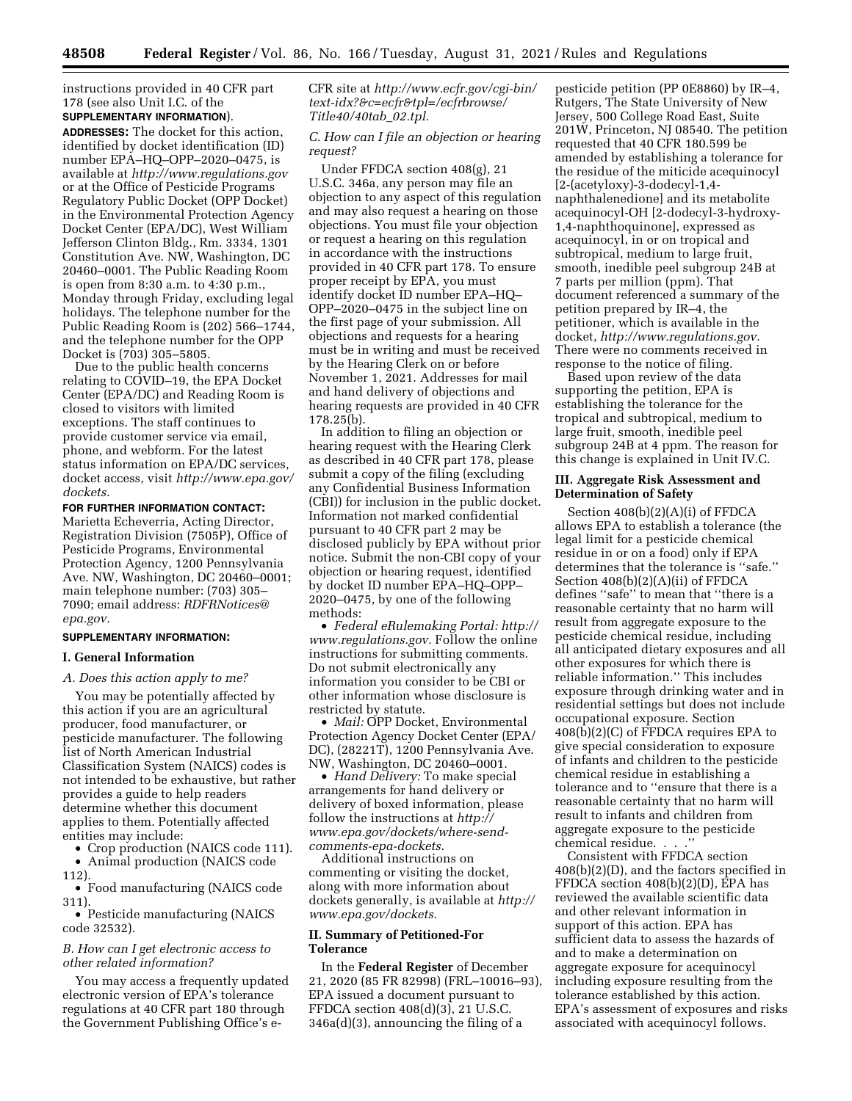instructions provided in 40 CFR part 178 (see also Unit I.C. of the **SUPPLEMENTARY INFORMATION**).

**ADDRESSES:** The docket for this action, identified by docket identification (ID) number EPA–HQ–OPP–2020–0475, is available at *<http://www.regulations.gov>* or at the Office of Pesticide Programs Regulatory Public Docket (OPP Docket) in the Environmental Protection Agency Docket Center (EPA/DC), West William Jefferson Clinton Bldg., Rm. 3334, 1301 Constitution Ave. NW, Washington, DC 20460–0001. The Public Reading Room is open from 8:30 a.m. to 4:30 p.m., Monday through Friday, excluding legal holidays. The telephone number for the Public Reading Room is (202) 566–1744, and the telephone number for the OPP Docket is (703) 305–5805.

Due to the public health concerns relating to COVID–19, the EPA Docket Center (EPA/DC) and Reading Room is closed to visitors with limited exceptions. The staff continues to provide customer service via email, phone, and webform. For the latest status information on EPA/DC services, docket access, visit *[http://www.epa.gov/](http://www.epa.gov/dockets) [dockets.](http://www.epa.gov/dockets)* 

**FOR FURTHER INFORMATION CONTACT:** 

Marietta Echeverria, Acting Director, Registration Division (7505P), Office of Pesticide Programs, Environmental Protection Agency, 1200 Pennsylvania Ave. NW, Washington, DC 20460–0001; main telephone number: (703) 305– 7090; email address: *[RDFRNotices@](mailto:RDFRNotices@epa.gov) [epa.gov.](mailto:RDFRNotices@epa.gov)* 

## **SUPPLEMENTARY INFORMATION:**

# **I. General Information**

### *A. Does this action apply to me?*

You may be potentially affected by this action if you are an agricultural producer, food manufacturer, or pesticide manufacturer. The following list of North American Industrial Classification System (NAICS) codes is not intended to be exhaustive, but rather provides a guide to help readers determine whether this document applies to them. Potentially affected entities may include:

• Crop production (NAICS code 111). • Animal production (NAICS code

112).

• Food manufacturing (NAICS code 311).

• Pesticide manufacturing (NAICS code 32532).

# *B. How can I get electronic access to other related information?*

You may access a frequently updated electronic version of EPA's tolerance regulations at 40 CFR part 180 through the Government Publishing Office's eCFR site at *[http://www.ecfr.gov/cgi-bin/](http://www.ecfr.gov/cgi-bin/text-idx?&c=ecfr&tpl=/ecfrbrowse/Title40/40tab_02.tpl)  [text-idx?&c=ecfr&tpl=/ecfrbrowse/](http://www.ecfr.gov/cgi-bin/text-idx?&c=ecfr&tpl=/ecfrbrowse/Title40/40tab_02.tpl) [Title40/40tab](http://www.ecfr.gov/cgi-bin/text-idx?&c=ecfr&tpl=/ecfrbrowse/Title40/40tab_02.tpl)*\_*02.tpl.* 

### *C. How can I file an objection or hearing request?*

Under FFDCA section 408(g), 21 U.S.C. 346a, any person may file an objection to any aspect of this regulation and may also request a hearing on those objections. You must file your objection or request a hearing on this regulation in accordance with the instructions provided in 40 CFR part 178. To ensure proper receipt by EPA, you must identify docket ID number EPA–HQ– OPP–2020–0475 in the subject line on the first page of your submission. All objections and requests for a hearing must be in writing and must be received by the Hearing Clerk on or before November 1, 2021. Addresses for mail and hand delivery of objections and hearing requests are provided in 40 CFR 178.25(b).

In addition to filing an objection or hearing request with the Hearing Clerk as described in 40 CFR part 178, please submit a copy of the filing (excluding any Confidential Business Information (CBI)) for inclusion in the public docket. Information not marked confidential pursuant to 40 CFR part 2 may be disclosed publicly by EPA without prior notice. Submit the non-CBI copy of your objection or hearing request, identified by docket ID number EPA–HQ–OPP– 2020–0475, by one of the following methods:

• *Federal eRulemaking Portal: [http://](http://www.regulations.gov)  [www.regulations.gov.](http://www.regulations.gov)* Follow the online instructions for submitting comments. Do not submit electronically any information you consider to be CBI or other information whose disclosure is restricted by statute.

• *Mail:* OPP Docket, Environmental Protection Agency Docket Center (EPA/ DC), (28221T), 1200 Pennsylvania Ave. NW, Washington, DC 20460–0001.

• *Hand Delivery:* To make special arrangements for hand delivery or delivery of boxed information, please follow the instructions at *[http://](http://www.epa.gov/dockets/where-send-comments-epa-dockets) [www.epa.gov/dockets/where-send](http://www.epa.gov/dockets/where-send-comments-epa-dockets)[comments-epa-dockets.](http://www.epa.gov/dockets/where-send-comments-epa-dockets)* 

Additional instructions on commenting or visiting the docket, along with more information about dockets generally, is available at *[http://](http://www.epa.gov/dockets) [www.epa.gov/dockets.](http://www.epa.gov/dockets)* 

## **II. Summary of Petitioned-For Tolerance**

In the **Federal Register** of December 21, 2020 (85 FR 82998) (FRL–10016–93), EPA issued a document pursuant to FFDCA section 408(d)(3), 21 U.S.C. 346a(d)(3), announcing the filing of a

pesticide petition (PP 0E8860) by IR–4, Rutgers, The State University of New Jersey, 500 College Road East, Suite 201W, Princeton, NJ 08540. The petition requested that 40 CFR 180.599 be amended by establishing a tolerance for the residue of the miticide acequinocyl [2-(acetyloxy)-3-dodecyl-1,4 naphthalenedione] and its metabolite acequinocyl-OH [2-dodecyl-3-hydroxy-1,4-naphthoquinone], expressed as acequinocyl, in or on tropical and subtropical, medium to large fruit, smooth, inedible peel subgroup 24B at 7 parts per million (ppm). That document referenced a summary of the petition prepared by IR–4, the petitioner, which is available in the docket, *[http://www.regulations.gov.](http://www.regulations.gov)*  There were no comments received in response to the notice of filing.

Based upon review of the data supporting the petition, EPA is establishing the tolerance for the tropical and subtropical, medium to large fruit, smooth, inedible peel subgroup 24B at 4 ppm. The reason for this change is explained in Unit IV.C.

### **III. Aggregate Risk Assessment and Determination of Safety**

Section 408(b)(2)(A)(i) of FFDCA allows EPA to establish a tolerance (the legal limit for a pesticide chemical residue in or on a food) only if EPA determines that the tolerance is ''safe.'' Section 408(b)(2)(A)(ii) of FFDCA defines ''safe'' to mean that ''there is a reasonable certainty that no harm will result from aggregate exposure to the pesticide chemical residue, including all anticipated dietary exposures and all other exposures for which there is reliable information.'' This includes exposure through drinking water and in residential settings but does not include occupational exposure. Section 408(b)(2)(C) of FFDCA requires EPA to give special consideration to exposure of infants and children to the pesticide chemical residue in establishing a tolerance and to ''ensure that there is a reasonable certainty that no harm will result to infants and children from aggregate exposure to the pesticide chemical residue...

Consistent with FFDCA section 408(b)(2)(D), and the factors specified in FFDCA section 408(b)(2)(D), EPA has reviewed the available scientific data and other relevant information in support of this action. EPA has sufficient data to assess the hazards of and to make a determination on aggregate exposure for acequinocyl including exposure resulting from the tolerance established by this action. EPA's assessment of exposures and risks associated with acequinocyl follows.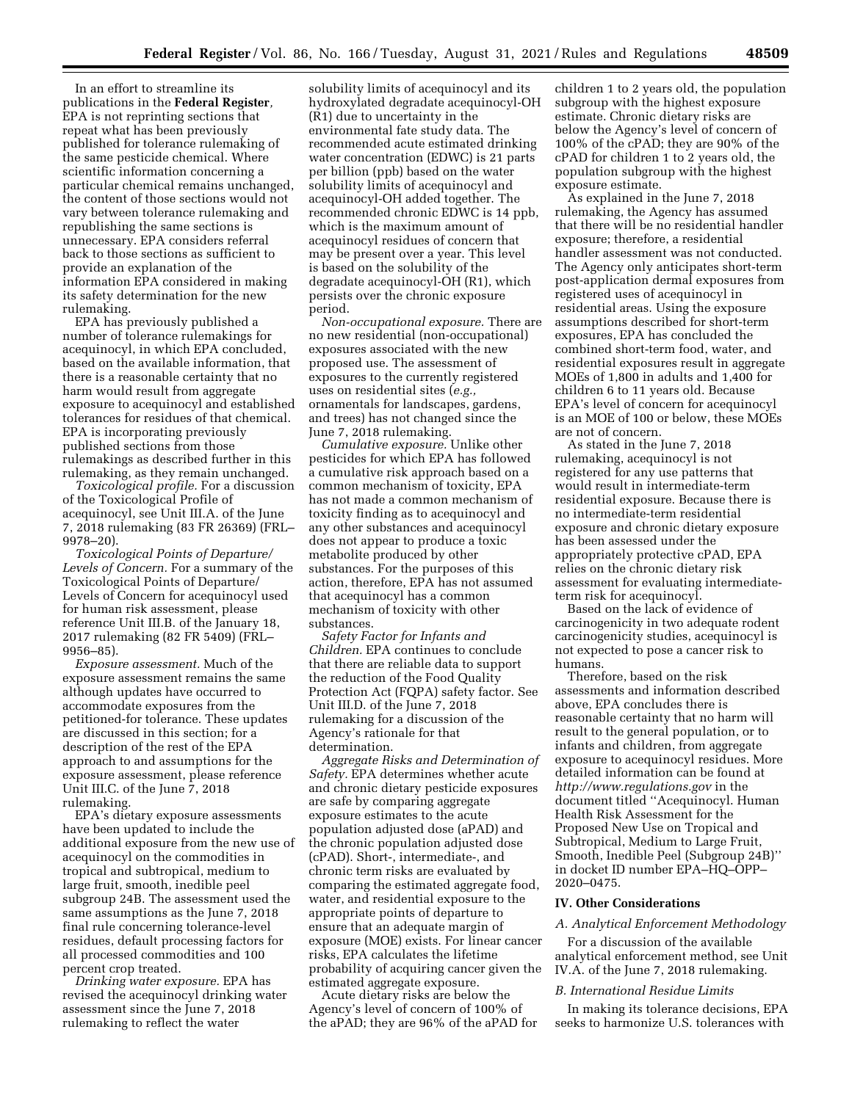In an effort to streamline its publications in the **Federal Register***,*  EPA is not reprinting sections that repeat what has been previously published for tolerance rulemaking of the same pesticide chemical. Where scientific information concerning a particular chemical remains unchanged, the content of those sections would not vary between tolerance rulemaking and republishing the same sections is unnecessary. EPA considers referral back to those sections as sufficient to provide an explanation of the information EPA considered in making its safety determination for the new rulemaking.

EPA has previously published a number of tolerance rulemakings for acequinocyl, in which EPA concluded, based on the available information, that there is a reasonable certainty that no harm would result from aggregate exposure to acequinocyl and established tolerances for residues of that chemical. EPA is incorporating previously published sections from those rulemakings as described further in this rulemaking, as they remain unchanged.

*Toxicological profile.* For a discussion of the Toxicological Profile of acequinocyl, see Unit III.A. of the June 7, 2018 rulemaking (83 FR 26369) (FRL– 9978–20).

*Toxicological Points of Departure/ Levels of Concern.* For a summary of the Toxicological Points of Departure/ Levels of Concern for acequinocyl used for human risk assessment, please reference Unit III.B. of the January 18, 2017 rulemaking (82 FR 5409) (FRL– 9956–85).

*Exposure assessment.* Much of the exposure assessment remains the same although updates have occurred to accommodate exposures from the petitioned-for tolerance. These updates are discussed in this section; for a description of the rest of the EPA approach to and assumptions for the exposure assessment, please reference Unit III.C. of the June 7, 2018 rulemaking.

EPA's dietary exposure assessments have been updated to include the additional exposure from the new use of acequinocyl on the commodities in tropical and subtropical, medium to large fruit, smooth, inedible peel subgroup 24B. The assessment used the same assumptions as the June 7, 2018 final rule concerning tolerance-level residues, default processing factors for all processed commodities and 100 percent crop treated.

*Drinking water exposure.* EPA has revised the acequinocyl drinking water assessment since the June 7, 2018 rulemaking to reflect the water

solubility limits of acequinocyl and its hydroxylated degradate acequinocyl-OH (R1) due to uncertainty in the environmental fate study data. The recommended acute estimated drinking water concentration (EDWC) is 21 parts per billion (ppb) based on the water solubility limits of acequinocyl and acequinocyl-OH added together. The recommended chronic EDWC is 14 ppb, which is the maximum amount of acequinocyl residues of concern that may be present over a year. This level is based on the solubility of the degradate acequinocyl-OH (R1), which persists over the chronic exposure period.

*Non-occupational exposure.* There are no new residential (non-occupational) exposures associated with the new proposed use. The assessment of exposures to the currently registered uses on residential sites (*e.g.,*  ornamentals for landscapes, gardens, and trees) has not changed since the June 7, 2018 rulemaking.

*Cumulative exposure.* Unlike other pesticides for which EPA has followed a cumulative risk approach based on a common mechanism of toxicity, EPA has not made a common mechanism of toxicity finding as to acequinocyl and any other substances and acequinocyl does not appear to produce a toxic metabolite produced by other substances. For the purposes of this action, therefore, EPA has not assumed that acequinocyl has a common mechanism of toxicity with other substances.

*Safety Factor for Infants and Children.* EPA continues to conclude that there are reliable data to support the reduction of the Food Quality Protection Act (FQPA) safety factor. See Unit III.D. of the June 7, 2018 rulemaking for a discussion of the Agency's rationale for that determination.

*Aggregate Risks and Determination of Safety.* EPA determines whether acute and chronic dietary pesticide exposures are safe by comparing aggregate exposure estimates to the acute population adjusted dose (aPAD) and the chronic population adjusted dose (cPAD). Short-, intermediate-, and chronic term risks are evaluated by comparing the estimated aggregate food, water, and residential exposure to the appropriate points of departure to ensure that an adequate margin of exposure (MOE) exists. For linear cancer risks, EPA calculates the lifetime probability of acquiring cancer given the estimated aggregate exposure.

Acute dietary risks are below the Agency's level of concern of 100% of the aPAD; they are 96% of the aPAD for children 1 to 2 years old, the population subgroup with the highest exposure estimate. Chronic dietary risks are below the Agency's level of concern of 100% of the cPAD; they are 90% of the cPAD for children 1 to 2 years old, the population subgroup with the highest exposure estimate.

As explained in the June 7, 2018 rulemaking, the Agency has assumed that there will be no residential handler exposure; therefore, a residential handler assessment was not conducted. The Agency only anticipates short-term post-application dermal exposures from registered uses of acequinocyl in residential areas. Using the exposure assumptions described for short-term exposures, EPA has concluded the combined short-term food, water, and residential exposures result in aggregate MOEs of 1,800 in adults and 1,400 for children 6 to 11 years old. Because EPA's level of concern for acequinocyl is an MOE of 100 or below, these MOEs are not of concern.

As stated in the June 7, 2018 rulemaking, acequinocyl is not registered for any use patterns that would result in intermediate-term residential exposure. Because there is no intermediate-term residential exposure and chronic dietary exposure has been assessed under the appropriately protective cPAD, EPA relies on the chronic dietary risk assessment for evaluating intermediateterm risk for acequinocyl.

Based on the lack of evidence of carcinogenicity in two adequate rodent carcinogenicity studies, acequinocyl is not expected to pose a cancer risk to humans.

Therefore, based on the risk assessments and information described above, EPA concludes there is reasonable certainty that no harm will result to the general population, or to infants and children, from aggregate exposure to acequinocyl residues. More detailed information can be found at *<http://www.regulations.gov>* in the document titled ''Acequinocyl. Human Health Risk Assessment for the Proposed New Use on Tropical and Subtropical, Medium to Large Fruit, Smooth, Inedible Peel (Subgroup 24B)'' in docket ID number EPA–HQ–OPP– 2020–0475.

#### **IV. Other Considerations**

#### *A. Analytical Enforcement Methodology*

For a discussion of the available analytical enforcement method, see Unit IV.A. of the June 7, 2018 rulemaking.

#### *B. International Residue Limits*

In making its tolerance decisions, EPA seeks to harmonize U.S. tolerances with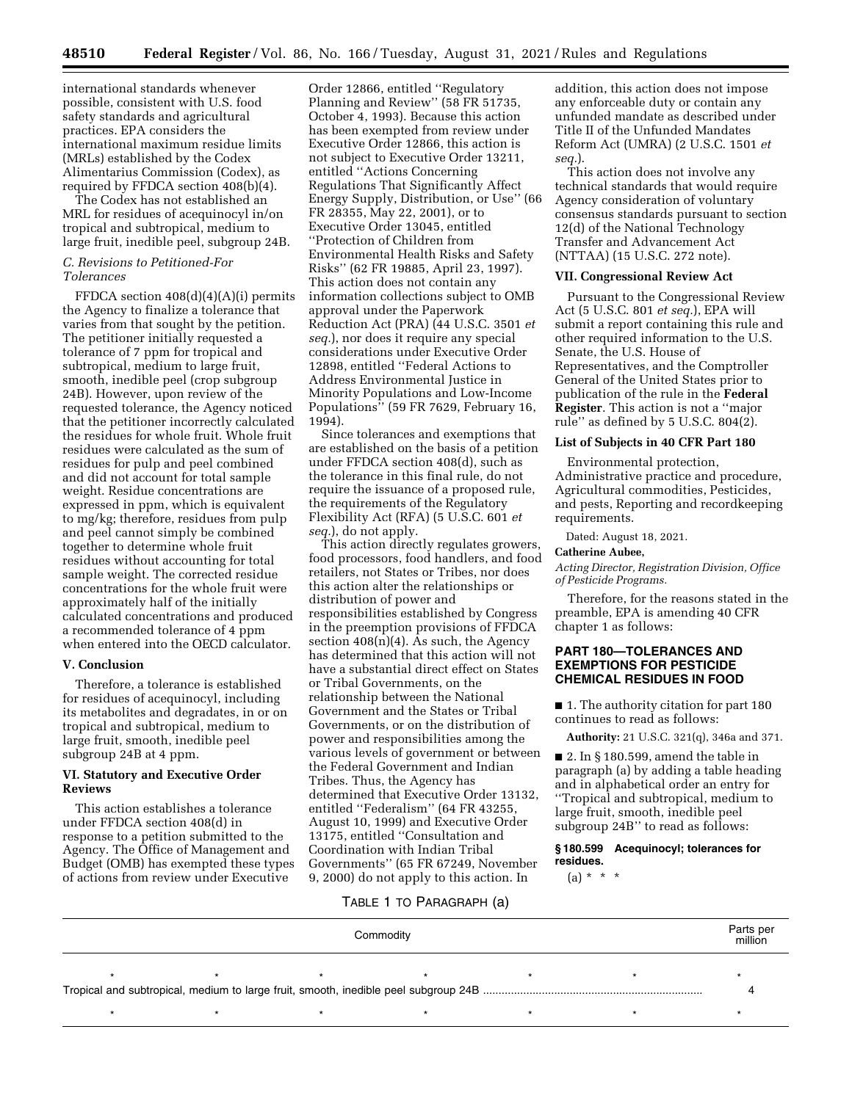international standards whenever possible, consistent with U.S. food safety standards and agricultural practices. EPA considers the international maximum residue limits (MRLs) established by the Codex Alimentarius Commission (Codex), as required by FFDCA section 408(b)(4).

The Codex has not established an MRL for residues of acequinocyl in/on tropical and subtropical, medium to large fruit, inedible peel, subgroup 24B.

## *C. Revisions to Petitioned-For Tolerances*

FFDCA section 408(d)(4)(A)(i) permits the Agency to finalize a tolerance that varies from that sought by the petition. The petitioner initially requested a tolerance of 7 ppm for tropical and subtropical, medium to large fruit, smooth, inedible peel (crop subgroup 24B). However, upon review of the requested tolerance, the Agency noticed that the petitioner incorrectly calculated the residues for whole fruit. Whole fruit residues were calculated as the sum of residues for pulp and peel combined and did not account for total sample weight. Residue concentrations are expressed in ppm, which is equivalent to mg/kg; therefore, residues from pulp and peel cannot simply be combined together to determine whole fruit residues without accounting for total sample weight. The corrected residue concentrations for the whole fruit were approximately half of the initially calculated concentrations and produced a recommended tolerance of 4 ppm when entered into the OECD calculator.

# **V. Conclusion**

Therefore, a tolerance is established for residues of acequinocyl, including its metabolites and degradates, in or on tropical and subtropical, medium to large fruit, smooth, inedible peel subgroup 24B at 4 ppm.

## **VI. Statutory and Executive Order Reviews**

This action establishes a tolerance under FFDCA section 408(d) in response to a petition submitted to the Agency. The Office of Management and Budget (OMB) has exempted these types of actions from review under Executive

Order 12866, entitled ''Regulatory Planning and Review'' (58 FR 51735, October 4, 1993). Because this action has been exempted from review under Executive Order 12866, this action is not subject to Executive Order 13211, entitled ''Actions Concerning Regulations That Significantly Affect Energy Supply, Distribution, or Use'' (66 FR 28355, May 22, 2001), or to Executive Order 13045, entitled ''Protection of Children from Environmental Health Risks and Safety Risks'' (62 FR 19885, April 23, 1997). This action does not contain any information collections subject to OMB approval under the Paperwork Reduction Act (PRA) (44 U.S.C. 3501 *et seq.*), nor does it require any special considerations under Executive Order 12898, entitled ''Federal Actions to Address Environmental Justice in Minority Populations and Low-Income Populations'' (59 FR 7629, February 16, 1994).

Since tolerances and exemptions that are established on the basis of a petition under FFDCA section 408(d), such as the tolerance in this final rule, do not require the issuance of a proposed rule, the requirements of the Regulatory Flexibility Act (RFA) (5 U.S.C. 601 *et seq.*), do not apply.

This action directly regulates growers, food processors, food handlers, and food retailers, not States or Tribes, nor does this action alter the relationships or distribution of power and responsibilities established by Congress in the preemption provisions of FFDCA section  $408(n)(4)$ . As such, the Agency has determined that this action will not have a substantial direct effect on States or Tribal Governments, on the relationship between the National Government and the States or Tribal Governments, or on the distribution of power and responsibilities among the various levels of government or between the Federal Government and Indian Tribes. Thus, the Agency has determined that Executive Order 13132, entitled ''Federalism'' (64 FR 43255, August 10, 1999) and Executive Order 13175, entitled ''Consultation and Coordination with Indian Tribal Governments'' (65 FR 67249, November 9, 2000) do not apply to this action. In

addition, this action does not impose any enforceable duty or contain any unfunded mandate as described under Title II of the Unfunded Mandates Reform Act (UMRA) (2 U.S.C. 1501 *et seq.*).

This action does not involve any technical standards that would require Agency consideration of voluntary consensus standards pursuant to section 12(d) of the National Technology Transfer and Advancement Act (NTTAA) (15 U.S.C. 272 note).

#### **VII. Congressional Review Act**

Pursuant to the Congressional Review Act (5 U.S.C. 801 *et seq.*), EPA will submit a report containing this rule and other required information to the U.S. Senate, the U.S. House of Representatives, and the Comptroller General of the United States prior to publication of the rule in the **Federal Register**. This action is not a ''major rule'' as defined by 5 U.S.C. 804(2).

#### **List of Subjects in 40 CFR Part 180**

Environmental protection, Administrative practice and procedure, Agricultural commodities, Pesticides, and pests, Reporting and recordkeeping requirements.

Dated: August 18, 2021.

### **Catherine Aubee,**

*Acting Director, Registration Division, Office of Pesticide Programs.* 

Therefore, for the reasons stated in the preamble, EPA is amending 40 CFR chapter 1 as follows:

# **PART 180—TOLERANCES AND EXEMPTIONS FOR PESTICIDE CHEMICAL RESIDUES IN FOOD**

■ 1. The authority citation for part 180 continues to read as follows:

**Authority:** 21 U.S.C. 321(q), 346a and 371.

■ 2. In § 180.599, amend the table in paragraph (a) by adding a table heading and in alphabetical order an entry for ''Tropical and subtropical, medium to large fruit, smooth, inedible peel subgroup 24B'' to read as follows:

# **§ 180.599 Acequinocyl; tolerances for residues.**

 $(a) * * * *$ 

# TABLE 1 TO PARAGRAPH (a)

| Commodity |  |  |  |  |  |  |  |  |
|-----------|--|--|--|--|--|--|--|--|
|           |  |  |  |  |  |  |  |  |
|           |  |  |  |  |  |  |  |  |